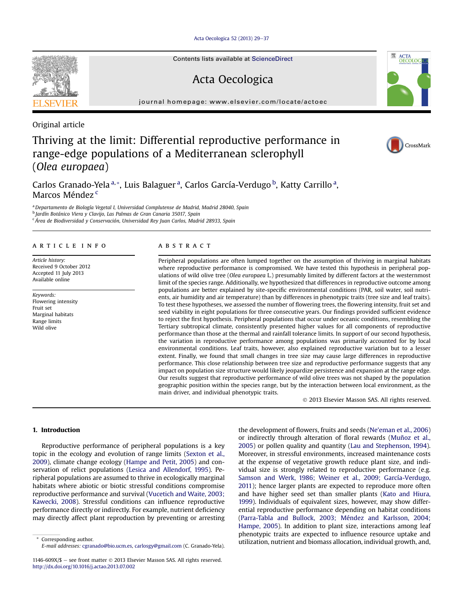[Acta Oecologica 52 \(2013\) 29](http://dx.doi.org/10.1016/j.actao.2013.07.002)-[37](http://dx.doi.org/10.1016/j.actao.2013.07.002)

Contents lists available at ScienceDirect

# Acta Oecologica

journal homepage: [www.elsevier.com/locate/actoec](http://www.elsevier.com/locate/actoec)

Original article

# Thriving at the limit: Differential reproductive performance in range-edge populations of a Mediterranean sclerophyll (Olea europaea)

Carlos Granado-Yela <sup>a, \*</sup>, Luis Balaguer <sup>a</sup>, Carlos García-Verdugo <sup>b</sup>, Katty Carrillo <sup>a</sup>, Marcos Méndez<sup>c</sup>

<sup>a</sup> Departamento de Biología Vegetal I, Universidad Complutense de Madrid, Madrid 28040, Spain <sup>b</sup> Jardín Botánico Viera y Clavijo, Las Palmas de Gran Canaria 35017, Spain <sup>c</sup>Área de Biodiversidad y Conservación, Universidad Rey Juan Carlos, Madrid 28933, Spain

# article info

Article history: Received 9 October 2012 Accepted 11 July 2013 Available online

Keywords: Flowering intensity Fruit set Marginal habitats Range limits Wild olive

# **ABSTRACT**

Peripheral populations are often lumped together on the assumption of thriving in marginal habitats where reproductive performance is compromised. We have tested this hypothesis in peripheral populations of wild olive tree (Olea europaea L.) presumably limited by different factors at the westernmost limit of the species range. Additionally, we hypothesized that differences in reproductive outcome among populations are better explained by site-specific environmental conditions (PAR, soil water, soil nutrients, air humidity and air temperature) than by differences in phenotypic traits (tree size and leaf traits). To test these hypotheses, we assessed the number of flowering trees, the flowering intensity, fruit set and seed viability in eight populations for three consecutive years. Our findings provided sufficient evidence to reject the first hypothesis. Peripheral populations that occur under oceanic conditions, resembling the Tertiary subtropical climate, consistently presented higher values for all components of reproductive performance than those at the thermal and rainfall tolerance limits. In support of our second hypothesis, the variation in reproductive performance among populations was primarily accounted for by local environmental conditions. Leaf traits, however, also explained reproductive variation but to a lesser extent. Finally, we found that small changes in tree size may cause large differences in reproductive performance. This close relationship between tree size and reproductive performance suggests that any impact on population size structure would likely jeopardize persistence and expansion at the range edge. Our results suggest that reproductive performance of wild olive trees was not shaped by the population geographic position within the species range, but by the interaction between local environment, as the main driver, and individual phenotypic traits.

2013 Elsevier Masson SAS. All rights reserved.

# 1. Introduction

Reproductive performance of peripheral populations is a key topic in the ecology and evolution of range limits [\(Sexton et al.,](#page-8-0) [2009\)](#page-8-0), climate change ecology ([Hampe and Petit, 2005\)](#page-7-0) and conservation of relict populations [\(Lesica and Allendorf, 1995](#page-7-0)). Peripheral populations are assumed to thrive in ecologically marginal habitats where abiotic or biotic stressful conditions compromise reproductive performance and survival [\(Vucetich and Waite, 2003;](#page-8-0) [Kawecki, 2008](#page-8-0)). Stressful conditions can influence reproductive performance directly or indirectly. For example, nutrient deficiency may directly affect plant reproduction by preventing or arresting

the development of flowers, fruits and seeds (Ne'[eman et al., 2006\)](#page-7-0) or indirectly through alteration of floral rewards ([Muñoz et al.,](#page-7-0) [2005\)](#page-7-0) or pollen quality and quantity ([Lau and Stephenson, 1994\)](#page-7-0). Moreover, in stressful environments, increased maintenance costs at the expense of vegetative growth reduce plant size, and individual size is strongly related to reproductive performance (e.g. [Samson and Werk, 1986; Weiner et al., 2009; García-Verdugo,](#page-8-0) [2011](#page-8-0)); hence larger plants are expected to reproduce more often and have higher seed set than smaller plants [\(Kato and Hiura,](#page-7-0) [1999\)](#page-7-0). Individuals of equivalent sizes, however, may show differential reproductive performance depending on habitat conditions ([Parra-Tabla and Bullock, 2003; Méndez and Karlsson, 2004;](#page-8-0) [Hampe, 2005](#page-8-0)). In addition to plant size, interactions among leaf phenotypic traits are expected to influence resource uptake and Corresponding author.<br>F mail addresses expected this way as exploration individual growth, and, the correct of the Correct of Main (Correcte Vale) utilization, nutrient and biomass allocation, individual growth, and,







E-mail addresses: [cgranado@bio.ucm.es](mailto:cgranado@bio.ucm.es), [carlosgy@gmail.com](mailto:carlosgy@gmail.com) (C. Granado-Yela).

<sup>1146-609</sup>X/\$  $-$  see front matter  $\odot$  2013 Elsevier Masson SAS. All rights reserved. <http://dx.doi.org/10.1016/j.actao.2013.07.002>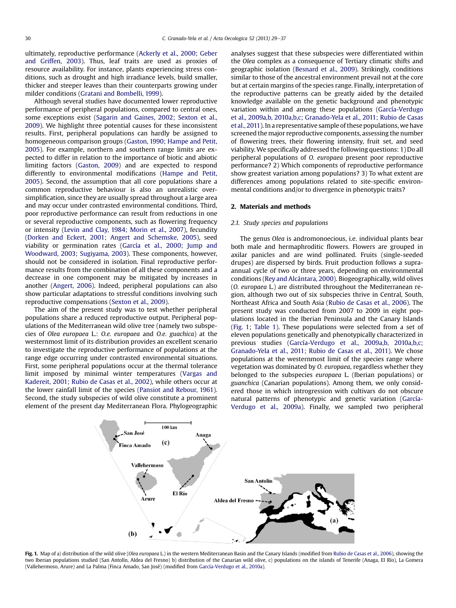ultimately, reproductive performance [\(Ackerly et al., 2000; Geber](#page-7-0) [and Griffen, 2003](#page-7-0)). Thus, leaf traits are used as proxies of resource availability. For instance, plants experiencing stress conditions, such as drought and high irradiance levels, build smaller, thicker and steeper leaves than their counterparts growing under milder conditions [\(Gratani and Bombelli, 1999](#page-7-0)).

Although several studies have documented lower reproductive performance of peripheral populations, compared to central ones, some exceptions exist ([Sagarin and Gaines, 2002; Sexton et al.,](#page-8-0) [2009](#page-8-0)). We highlight three potential causes for these inconsistent results. First, peripheral populations can hardly be assigned to homogeneous comparison groups ([Gaston, 1990; Hampe and Petit,](#page-7-0) [2005](#page-7-0)). For example, northern and southern range limits are expected to differ in relation to the importance of biotic and abiotic limiting factors [\(Gaston, 2009\)](#page-7-0) and are expected to respond differently to environmental modifications [\(Hampe and Petit,](#page-7-0) [2005](#page-7-0)). Second, the assumption that all core populations share a common reproductive behaviour is also an unrealistic oversimplification, since they are usually spread throughout a large area and may occur under contrasted environmental conditions. Third, poor reproductive performance can result from reductions in one or several reproductive components, such as flowering frequency or intensity ([Levin and Clay, 1984; Morin et al., 2007\)](#page-7-0), fecundity ([Dorken and Eckert, 2001; Angert and Schemske, 2005\)](#page-7-0), seed viability or germination rates ([García et al., 2000; Jump and](#page-7-0) [Woodward, 2003; Sugiyama, 2003](#page-7-0)). These components, however, should not be considered in isolation. Final reproductive performance results from the combination of all these components and a decrease in one component may be mitigated by increases in another [\(Angert, 2006\)](#page-7-0). Indeed, peripheral populations can also show particular adaptations to stressful conditions involving such reproductive compensations ([Sexton et al., 2009\)](#page-8-0).

The aim of the present study was to test whether peripheral populations share a reduced reproductive output. Peripheral populations of the Mediterranean wild olive tree (namely two subspecies of Olea europaea L.: O.e. europaea and O.e. guachica) at the westernmost limit of its distribution provides an excellent scenario to investigate the reproductive performance of populations at the range edge occurring under contrasted environmental situations. First, some peripheral populations occur at the thermal tolerance limit imposed by minimal winter temperatures [\(Vargas and](#page-8-0) [Kadereit, 2001; Rubio de Casas et al., 2002](#page-8-0)), while others occur at the lower rainfall limit of the species [\(Pansiot and Rebour, 1961\)](#page-7-0). Second, the study subspecies of wild olive constitute a prominent element of the present day Mediterranean Flora. Phylogeographic analyses suggest that these subspecies were differentiated within the Olea complex as a consequence of Tertiary climatic shifts and geographic isolation ([Besnard et al., 2009\)](#page-7-0). Strikingly, conditions similar to those of the ancestral environment prevail not at the core but at certain margins of the species range. Finally, interpretation of the reproductive patterns can be greatly aided by the detailed knowledge available on the genetic background and phenotypic variation within and among these populations [\(García-Verdugo](#page-7-0) [et al., 2009a,b, 2010a,b,c; Granado-Yela et al., 2011; Rubio de Casas](#page-7-0) [et al., 2011\)](#page-7-0). In a representative sample of these populations, we have screened the major reproductive components, assessing the number of flowering trees, their flowering intensity, fruit set, and seed viability. We specifically addressed the following questions: 1) Do all peripheral populations of O. europaea present poor reproductive performance? 2) Which components of reproductive performance show greatest variation among populations? 3) To what extent are differences among populations related to site-specific environmental conditions and/or to divergence in phenotypic traits?

## 2. Materials and methods

## 2.1. Study species and populations

The genus Olea is andromonoecious, i.e. individual plants bear both male and hermaphroditic flowers. Flowers are grouped in axilar panicles and are wind pollinated. Fruits (single-seeded drupes) are dispersed by birds. Fruit production follows a supraannual cycle of two or three years, depending on environmental conditions [\(Rey and Alcántara, 2000\)](#page-8-0). Biogeographically, wild olives (O. europaea L.) are distributed throughout the Mediterranean region, although two out of six subspecies thrive in Central, South, Northeast Africa and South Asia [\(Rubio de Casas et al., 2006](#page-8-0)). The present study was conducted from 2007 to 2009 in eight populations located in the Iberian Peninsula and the Canary Islands (Fig. 1; [Table 1\)](#page-2-0). These populations were selected from a set of eleven populations genetically and phenotypically characterized in previous studies [\(García-Verdugo et al., 2009a,b, 2010a,b,c;](#page-7-0) [Granado-Yela et al., 2011; Rubio de Casas et al., 2011](#page-7-0)). We chose populations at the westernmost limit of the species range where vegetation was dominated by O. europaea, regardless whether they belonged to the subspecies europaea L. (Iberian populations) or guanchica (Canarian populations). Among them, we only considered those in which introgression with cultivars do not obscure natural patterns of phenotypic and genetic variation ([García-](#page-7-0)[Verdugo et al., 2009a](#page-7-0)). Finally, we sampled two peripheral



Fig. 1. Map of a) distribution of the wild olive (Olea europaea L.) in the western Mediterranean Basin and the Canary Islands (modified from [Rubio de Casas et al., 2006\)](#page-8-0), showing the two Iberian populations studied (San Antolín, Aldea del Fresno) b) distribution of the Canarian wild olive, c) populations on the islands of Tenerife (Anaga, El Río), La Gomera (Vallehermoso, Arure) and La Palma (Finca Amado, San José) (modified from [García-Verdugo et al., 2010a\)](#page-7-0).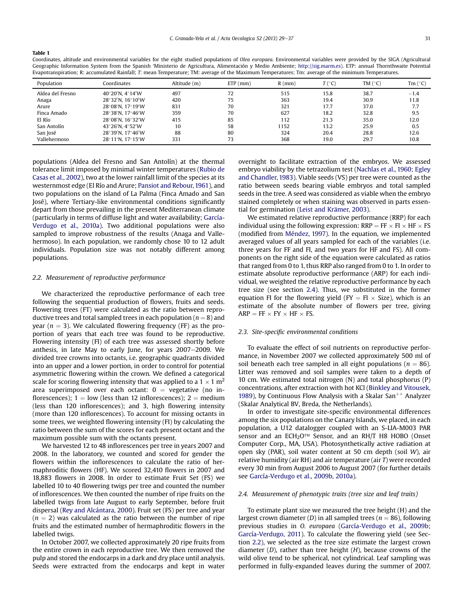<span id="page-2-0"></span>Table 1

Coordinates, altitude and environmental variables for the eight studied populations of Olea europaea. Environmental variables were provided by the SIGA (Agricultural Geographic Information System from the Spanish 'Ministerio de Agricultura, Alimentación y Medio Ambiente; <http://sig.marm.es>). ETP: annual Thornthwaite Potential Evapotranspiration; R: accumulated Rainfall; T: mean Temperature; TM: average of the Maximum Temperatures; Tm: average of the minimum Temperatures.

| Population       | Coordinates                                           | Altitude (m) | $ETP$ (mm) | $R$ (mm) | $T({}^{\circ}{\sf C})$ | TM $(^{\circ}C)$ | Tm $(^{\circ}C)$ |
|------------------|-------------------------------------------------------|--------------|------------|----------|------------------------|------------------|------------------|
| Aldea del Fresno | 40°20′N, 4°14′W                                       | 497          | 72         | 515      | 15.8                   | 38.7             | $-1.4$           |
| Anaga            | 28°32'N.16°10'W                                       | 420          | 75         | 363      | 19.4                   | 30.9             | 11.8             |
| Arure            | 28°08′N, 17°19′W                                      | 831          | 70         | 321      | 17.7                   | 37.0             | 7.7              |
| Finca Amado      | $28^{\circ}38^{\prime}$ N. 17 $^{\circ}46^{\prime}$ W | 359          | 70         | 627      | 18.2                   | 32.8             | 9.5              |
| El Río           | $28^{\circ}08'$ N. 16°32′W                            | 415          | 85         | 112      | 21.3                   | 35.0             | 12.0             |
| San Antolín      | 43°26′N. 4°52′W                                       | 10           | 58         | 1152     | 13.2                   | 25.9             | 0.5              |
| San José         | 28°39′N. 17°46′W                                      | 88           | 80         | 324      | 20.4                   | 28.8             | 12.6             |
| Vallehermoso     | 28°11'N. 17°15'W                                      | 331          | 73         | 368      | 19.0                   | 29.7             | 10.8             |

populations (Aldea del Fresno and San Antolín) at the thermal tolerance limit imposed by minimal winter temperatures ([Rubio de](#page-8-0) [Casas et al., 2002\)](#page-8-0), two at the lower rainfall limit of the species at its westernmost edge (El Río and Arure; [Pansiot and Rebour, 1961\)](#page-7-0), and two populations on the island of La Palma (Finca Amado and San José), where Tertiary-like environmental conditions significantly depart from those prevailing in the present Mediterranean climate (particularly in terms of diffuse light and water availability; [García-](#page-7-0)[Verdugo et al., 2010a\)](#page-7-0). Two additional populations were also sampled to improve robustness of the results (Anaga and Vallehermoso). In each population, we randomly chose 10 to 12 adult individuals. Population size was not notably different among populations.

# 2.2. Measurement of reproductive performance

We characterized the reproductive performance of each tree following the sequential production of flowers, fruits and seeds. Flowering trees (FT) were calculated as the ratio between reproductive trees and total sampled trees in each population ( $n = 8$ ) and year ( $n = 3$ ). We calculated flowering frequency (FF) as the proportion of years that each tree was found to be reproductive. Flowering intensity (FI) of each tree was assessed shortly before anthesis, in late May to early June, for years  $2007-2009$ . We divided tree crowns into octants, i.e. geographic quadrants divided into an upper and a lower portion, in order to control for potential asymmetric flowering within the crown. We defined a categorical scale for scoring flowering intensity that was applied to a 1  $\times$  1 m<sup>2</sup> area superimposed over each octant:  $0 =$  vegetative (no inflorescences);  $1 =$  low (less than 12 inflorescences);  $2 =$  medium (less than 120 inflorescences); and 3, high flowering intensity (more than 120 inflorescences). To account for missing octants in some trees, we weighted flowering intensity (FI) by calculating the ratio between the sum of the scores for each present octant and the maximum possible sum with the octants present.

We harvested 12 to 48 inflorescences per tree in years 2007 and 2008. In the laboratory, we counted and scored for gender the flowers within the inflorescences to calculate the ratio of hermaphroditic flowers (HF). We scored 32,410 flowers in 2007 and 18,883 flowers in 2008. In order to estimate Fruit Set (FS) we labelled 10 to 40 flowering twigs per tree and counted the number of inflorescences. We then counted the number of ripe fruits on the labelled twigs from late August to early September, before fruit dispersal [\(Rey and Alcántara, 2000\)](#page-8-0). Fruit set (FS) per tree and year  $(n = 2)$  was calculated as the ratio between the number of ripe fruits and the estimated number of hermaphroditic flowers in the labelled twigs.

In October 2007, we collected approximately 20 ripe fruits from the entire crown in each reproductive tree. We then removed the pulp and stored the endocarps in a dark and dry place until analysis. Seeds were extracted from the endocarps and kept in water overnight to facilitate extraction of the embryos. We assessed embryo viability by the tetrazolium test [\(Nachlas et al., 1960; Egley](#page-7-0) [and Chandler, 1983](#page-7-0)). Viable seeds (VS) per tree were counted as the ratio between seeds bearing viable embryos and total sampled seeds in the tree. A seed was considered as viable when the embryo stained completely or when staining was observed in parts essential for germination [\(Leist and Krämer, 2003](#page-7-0)).

We estimated relative reproductive performance (RRP) for each individual using the following expression:  $\text{RRP} = \text{FF} \times \text{FI} \times \text{HF} \times \text{FS}$ (modified from [Méndez, 1997\)](#page-7-0). In the equation, we implemented averaged values of all years sampled for each of the variables (i.e. three years for FF and FI, and two years for HF and FS). All components on the right side of the equation were calculated as ratios that ranged from 0 to 1, thus RRP also ranged from 0 to 1. In order to estimate absolute reproductive performance (ARP) for each individual, we weighted the relative reproductive performance by each tree size (see section 2.4). Thus, we substituted in the former equation FI for the flowering yield (FY = FI  $\times$  Size), which is an estimate of the absolute number of flowers per tree, giving  $ARP = FF \times FY \times HF \times FS$ .

# 2.3. Site-specific environmental conditions

To evaluate the effect of soil nutrients on reproductive performance, in November 2007 we collected approximately 500 ml of soil beneath each tree sampled in all eight populations ( $n = 86$ ). Litter was removed and soil samples were taken to a depth of 10 cm. We estimated total nitrogen (N) and total phosphorus (P) concentrations, after extraction with hot KCl ([Binkley and Vitousek,](#page-7-0) [1989\)](#page-7-0), by Continuous Flow Analysis with a Skalar San<sup>++</sup> Analyzer (Skalar Analytical BV, Breda, the Netherlands).

In order to investigate site-specific environmental differences among the six populations on the Canary Islands, we placed, in each population, a U12 datalogger coupled with an S-LIA-M003 PAR sensor and an ECH<sub>2</sub>O<sup>TM</sup> Sensor, and an RH/T H8 HOBO (Onset Computer Corp., MA, USA). Photosynthetically active radiation at open sky (PAR), soil water content at 50 cm depth (soil W), air relative humidity (air RH) and air temperature (air T) were recorded every 30 min from August 2006 to August 2007 (for further details see [García-Verdugo et al., 2009b, 2010a](#page-7-0)).

# 2.4. Measurement of phenotypic traits (tree size and leaf traits)

To estimate plant size we measured the tree height (H) and the largest crown diameter (*D*) in all sampled trees ( $n = 86$ ), following previous studies in O. europaea [\(García-Verdugo et al., 2009b;](#page-7-0) [García-Verdugo, 2011\)](#page-7-0). To calculate the flowering yield (see Section 2.2), we selected as the tree size estimate the largest crown diameter  $(D)$ , rather than tree height  $(H)$ , because crowns of the wild olive tend to be spherical, not cylindrical. Leaf sampling was performed in fully-expanded leaves during the summer of 2007.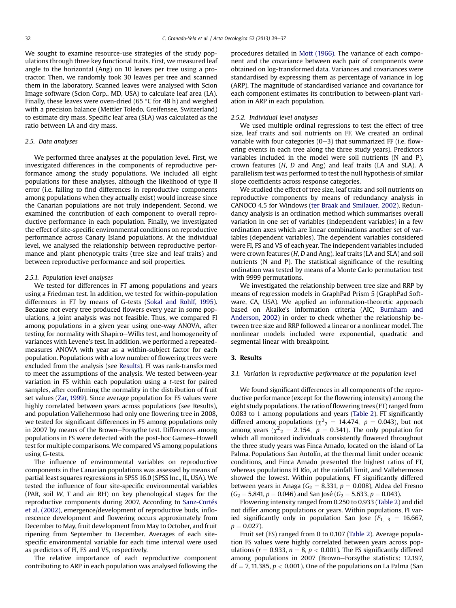We sought to examine resource-use strategies of the study populations through three key functional traits. First, we measured leaf angle to the horizontal (Ang) on 10 leaves per tree using a protractor. Then, we randomly took 30 leaves per tree and scanned them in the laboratory. Scanned leaves were analysed with Scion Image software (Scion Corp., MD, USA) to calculate leaf area (LA). Finally, these leaves were oven-dried (65  $\degree$ C for 48 h) and weighed with a precision balance (Mettler Toledo, Greifensee, Switzerland) to estimate dry mass. Specific leaf area (SLA) was calculated as the ratio between LA and dry mass.

# 2.5. Data analyses

We performed three analyses at the population level. First, we investigated differences in the components of reproductive performance among the study populations. We included all eight populations for these analyses, although the likelihood of type II error (i.e. failing to find differences in reproductive components among populations when they actually exist) would increase since the Canarian populations are not truly independent. Second, we examined the contribution of each component to overall reproductive performance in each population. Finally, we investigated the effect of site-specific environmental conditions on reproductive performance across Canary Island populations. At the individual level, we analysed the relationship between reproductive performance and plant phenotypic traits (tree size and leaf traits) and between reproductive performance and soil properties.

# 2.5.1. Population level analyses

We tested for differences in FT among populations and years using a Friedman test. In addition, we tested for within-population differences in FT by means of G-tests [\(Sokal and Rohlf, 1995\)](#page-8-0). Because not every tree produced flowers every year in some populations, a joint analysis was not feasible. Thus, we compared FI among populations in a given year using one-way ANOVA, after testing for normality with Shapiro-Wilks test, and homogeneity of variances with Levene's test. In addition, we performed a repeatedmeasures ANOVA with year as a within-subject factor for each population. Populations with a low number of flowering trees were excluded from the analysis (see Results). FI was rank-transformed to meet the assumptions of the analysis. We tested between-year variation in FS within each population using a t-test for paired samples, after confirming the normality in the distribution of fruit set values ([Zar, 1999\)](#page-8-0). Since average population for FS values were highly correlated between years across populations (see Results), and population Vallehermoso had only one flowering tree in 2008, we tested for significant differences in FS among populations only in 2007 by means of the Brown-Forsythe test. Differences among populations in FS were detected with the post-hoc Games-Howell test for multiple comparisons. We compared VS among populations using G-tests.

The influence of environmental variables on reproductive components in the Canarian populations was assessed by means of partial least squares regressions in SPSS 16.0 (SPSS Inc., IL, USA). We tested the influence of four site-specific environmental variables (PAR, soil W, T and air RH) on key phenological stages for the reproductive components during 2007. According to [Sanz-Cortés](#page-8-0) [et al. \(2002\)](#page-8-0), emergence/development of reproductive buds, inflorescence development and flowering occurs approximately from December to May, fruit development from May to October, and fruit ripening from September to December. Averages of each sitespecific environmental variable for each time interval were used as predictors of FI, FS and VS, respectively.

The relative importance of each reproductive component contributing to ARP in each population was analysed following the

procedures detailed in [Mott \(1966\).](#page-7-0) The variance of each component and the covariance between each pair of components were obtained on log-transformed data. Variances and covariances were standardised by expressing them as percentage of variance in log (ARP). The magnitude of standardised variance and covariance for each component estimates its contribution to between-plant variation in ARP in each population.

## 2.5.2. Individual level analyses

We used multiple ordinal regressions to test the effect of tree size, leaf traits and soil nutrients on FF. We created an ordinal variable with four categories  $(0-3)$  that summarized FF (i.e. flowering events in each tree along the three study years). Predictors variables included in the model were soil nutrients (N and P), crown features (H, D and Ang) and leaf traits (LA and SLA). A parallelism test was performed to test the null hypothesis of similar slope coefficients across response categories.

We studied the effect of tree size, leaf traits and soil nutrients on reproductive components by means of redundancy analysis in CANOCO 4.5 for Windows ([ter Braak and Smilauer, 2002\)](#page-8-0). Redundancy analysis is an ordination method which summarises overall variation in one set of variables (independent variables) in a few ordination axes which are linear combinations another set of variables (dependent variables). The dependent variables considered were FI, FS and VS of each year. The independent variables included were crown features (H, D and Ang), leaf traits (LA and SLA) and soil nutrients (N and P). The statistical significance of the resulting ordination was tested by means of a Monte Carlo permutation test with 9999 permutations.

We investigated the relationship between tree size and RRP by means of regression models in GraphPad Prism 5 (GraphPad Software, CA, USA). We applied an information-theoretic approach based on Akaike's information criteria (AIC; [Burnham and](#page-7-0) [Anderson, 2002\)](#page-7-0) in order to check whether the relationship between tree size and RRP followed a linear or a nonlinear model. The nonlinear models included were exponential, quadratic and segmental linear with breakpoint.

## 3. Results

# 3.1. Variation in reproductive performance at the population level

We found significant differences in all components of the reproductive performance (except for the flowering intensity) among the eight study populations. The ratio of flowering trees (FT) ranged from 0.083 to 1 among populations and years [\(Table 2\)](#page-4-0). FT significantly differed among populations ( $\chi^2$ <sub>7</sub> = 14.474, *p* = 0.043), but not among years ( $\chi^2$ <sub>2</sub> = 2.154, p = 0.341). The only population for which all monitored individuals consistently flowered throughout the three study years was Finca Amado, located on the island of La Palma. Populations San Antolín, at the thermal limit under oceanic conditions, and Finca Amado presented the highest ratios of FT, whereas populations El Río, at the rainfall limit, and Vallehermoso showed the lowest. Within populations, FT significantly differed between years in Anaga ( $G_2 = 8.331$ ,  $p = 0.008$ ), Aldea del Fresno  $(G_2 = 5.841, p = 0.046)$  and San José  $(G_2 = 5.633, p = 0.043)$ .

Flowering intensity ranged from 0.250 to 0.933 ([Table 2\)](#page-4-0) and did not differ among populations or years. Within populations, FI varied significantly only in population San Jose ( $F_{1, 3} = 16.667$ ,  $p = 0.027$ ).

Fruit set (FS) ranged from 0 to 0.107 [\(Table 2](#page-4-0)). Average population FS values were highly correlated between years across populations ( $r = 0.933$ ,  $n = 8$ ,  $p < 0.001$ ). The FS significantly differed among populations in 2007 (Brown-Forsythe statistics: 12.197,  $df = 7$ , 11.385,  $p < 0.001$ ). One of the populations on La Palma (San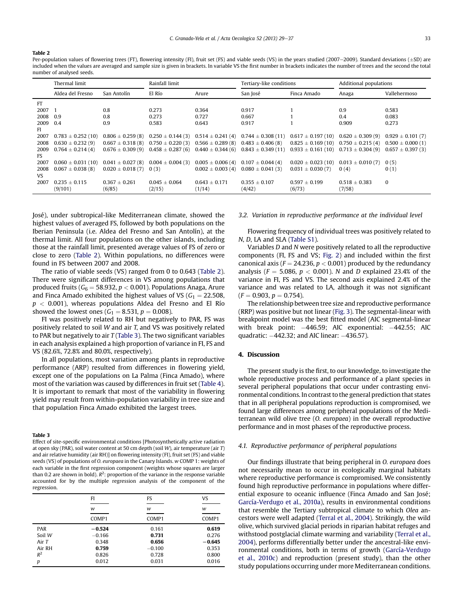#### <span id="page-4-0"></span>Table 2

Per-population values of flowering trees (FT), flowering intensity (FI), fruit set (FS) and viable seeds (VS) in the years studied (2007-2009). Standard deviations ( $\pm$ SD) are included when the values are averaged and sample size is given in brackets. In variable VS the first number in brackets indicates the number of trees and the second the total number of analysed seeds.

|      | Thermal limit         |                      | Rainfall limit       |                      | Tertiary-like conditions |                        | Additional populations |                      |
|------|-----------------------|----------------------|----------------------|----------------------|--------------------------|------------------------|------------------------|----------------------|
|      | Aldea del Fresno      | San Antolín          | El Río               | Arure                | San José                 | Finca Amado            | Anaga                  | Vallehermoso         |
| FT   |                       |                      |                      |                      |                          |                        |                        |                      |
| 2007 |                       | 0.8                  | 0.273                | 0.364                | 0.917                    |                        | 0.9                    | 0.583                |
| 2008 | 0.9                   | 0.8                  | 0.273                | 0.727                | 0.667                    |                        | 0.4                    | 0.083                |
| 2009 | 0.4                   | 0.9                  | 0.583                | 0.643                | 0.917                    |                        | 0.909                  | 0.273                |
| FI   |                       |                      |                      |                      |                          |                        |                        |                      |
| 2007 | $0.783 \pm 0.252(10)$ | $0.806 \pm 0.259(8)$ | $0.250 \pm 0.144(3)$ | $0.514 \pm 0.241(4)$ | $0.744 \pm 0.308$ (11)   | $0.617 \pm 0.197(10)$  | $0.620 \pm 0.309(9)$   | $0.929 \pm 0.101(7)$ |
| 2008 | $0.630 \pm 0.232(9)$  | $0.667 \pm 0.318(8)$ | $0.750 \pm 0.220(3)$ | $0.566 \pm 0.289(8)$ | $0.483 \pm 0.406(8)$     | $0.825 \pm 0.169(10)$  | $0.750 \pm 0.215(4)$   | $0.500 \pm 0.000(1)$ |
| 2009 | $0.764 \pm 0.214(4)$  | $0.676 \pm 0.309(9)$ | $0.458 \pm 0.287(6)$ | $0.440 \pm 0.344(6)$ | $0.843 \pm 0.349(11)$    | $0.933 \pm 0.161(10)$  | $0.713 \pm 0.304(9)$   | $0.657 \pm 0.397(3)$ |
| FS   |                       |                      |                      |                      |                          |                        |                        |                      |
| 2007 | $0.060 \pm 0.031(10)$ | $0.041 \pm 0.027(8)$ | $0.004 \pm 0.004(3)$ | $0.005 \pm 0.006(4)$ | $0.107 \pm 0.044(4)$     | $0.020 \pm 0.023$ (10) | $0.013 \pm 0.010(7)$   | 0(5)                 |
| 2008 | $0.067 \pm 0.038(8)$  | $0.020 \pm 0.018(7)$ | 0(3)                 | $0.002 \pm 0.003(4)$ | $0.080 \pm 0.041(3)$     | $0.031 \pm 0.030(7)$   | 0(4)                   | 0(1)                 |
| VS.  |                       |                      |                      |                      |                          |                        |                        |                      |
| 2007 | $0.235 + 0.115$       | $0.367 \pm 0.261$    | $0.045 + 0.064$      | $0.643 + 0.171$      | $0.355 + 0.107$          | $0.597 + 0.199$        | $0.518 + 0.383$        | $\bf{0}$             |
|      | (9/101)               | (6/85)               | (2/15)               | (1/14)               | (4/42)                   | (6/73)                 | (7/58)                 |                      |

José), under subtropical-like Mediterranean climate, showed the highest values of averaged FS, followed by both populations on the Iberian Peninsula (i.e. Aldea del Fresno and San Antolín), at the thermal limit. All four populations on the other islands, including those at the rainfall limit, presented average values of FS of zero or close to zero (Table 2). Within populations, no differences were found in FS between 2007 and 2008.

The ratio of viable seeds (VS) ranged from 0 to 0.643 (Table 2). There were significant differences in VS among populations that produced fruits ( $G_6 = 58.932$ ,  $p < 0.001$ ). Populations Anaga, Arure and Finca Amado exhibited the highest values of VS ( $G_1 = 22.508$ ,  $p < 0.001$ ), whereas populations Aldea del Fresno and El Río showed the lowest ones ( $G_1 = 8.531$ ,  $p = 0.008$ ).

FI was positively related to RH but negatively to PAR, FS was positively related to soil W and air T, and VS was positively related to PAR but negatively to air  $T$  (Table 3). The two significant variables in each analysis explained a high proportion of variance in FI, FS and VS (82.6%, 72.8% and 80.0%, respectively).

In all populations, most variation among plants in reproductive performance (ARP) resulted from differences in flowering yield, except one of the populations on La Palma (Finca Amado), where most of the variation was caused by differences in fruit set [\(Table 4\)](#page-5-0). It is important to remark that most of the variability in flowering yield may result from within-population variability in tree size and that population Finca Amado exhibited the largest trees.

#### Table 3

Effect of site-specific environmental conditions [Photosynthetically active radiation at open sky (PAR), soil water content at 50 cm depth (soil W), air temperature (air T) and air relative humidity (air RH)] on flowering intensity (FI), fruit set (FS) and viable seeds (VS) of populations of O. europaea in the Canary Islands. w COMP 1: weights of each variable in the first regression component (weights whose squares are larger than 0.2 are shown in bold).  $R^2$ : proportion of the variance in the response variable accounted for by the multiple regression analysis of the component of the regression.

|            | FI       | FS       | VS       |
|------------|----------|----------|----------|
|            | w        | w        | w        |
|            | COMP1    | COMP1    | COMP1    |
| <b>PAR</b> | $-0.524$ | 0.161    | 0.619    |
| Soil W     | $-0.166$ | 0.731    | 0.276    |
| Air T      | 0.348    | 0.656    | $-0.645$ |
| Air RH     | 0.759    | $-0.100$ | 0.353    |
| $R^2$      | 0.826    | 0.728    | 0.800    |
| p          | 0.012    | 0.031    | 0.016    |

# 3.2. Variation in reproductive performance at the individual level

Flowering frequency of individual trees was positively related to N, D, LA and SLA ([Table S1](#page-7-0)).

Variables D and N were positively related to all the reproductive components (FI, FS and VS; [Fig. 2](#page-5-0)) and included within the first canonical axis ( $F = 24.236$ ,  $p < 0.001$ ) produced by the redundancy analysis ( $F = 5.086$ ,  $p < 0.001$ ). N and D explained 23.4% of the variance in FI, FS and VS. The second axis explained 2.4% of the variance and was related to LA, although it was not significant  $(F = 0.903, p = 0.754).$ 

The relationship between tree size and reproductive performance (RRP) was positive but not linear ([Fig. 3](#page-5-0)). The segmental-linear with breakpoint model was the best fitted model (AIC segmental-linear with break point:  $-446.59$ ; AIC exponential:  $-442.55$ ; AIC quadratic:  $-442.32$ ; and AIC linear:  $-436.57$ ).

# 4. Discussion

The present study is the first, to our knowledge, to investigate the whole reproductive process and performance of a plant species in several peripheral populations that occur under contrasting environmental conditions. In contrast to the general prediction that states that in all peripheral populations reproduction is compromised, we found large differences among peripheral populations of the Mediterranean wild olive tree (O. europaea) in the overall reproductive performance and in most phases of the reproductive process.

#### 4.1. Reproductive performance of peripheral populations

Our findings illustrate that being peripheral in O. europaea does not necessarily mean to occur in ecologically marginal habitats where reproductive performance is compromised. We consistently found high reproductive performance in populations where differential exposure to oceanic influence (Finca Amado and San José; [García-Verdugo et al., 2010a\)](#page-7-0), results in environmental conditions that resemble the Tertiary subtropical climate to which Olea ancestors were well adapted ([Terral et al., 2004](#page-8-0)). Strikingly, the wild olive, which survived glacial periods in riparian habitat refuges and withstood postglacial climate warming and variability [\(Terral et al.,](#page-8-0) [2004\)](#page-8-0), performs differentially better under the ancestral-like environmental conditions, both in terms of growth ([García-Verdugo](#page-7-0) [et al., 2010c\)](#page-7-0) and reproduction (present study), than the other study populations occurring under more Mediterranean conditions.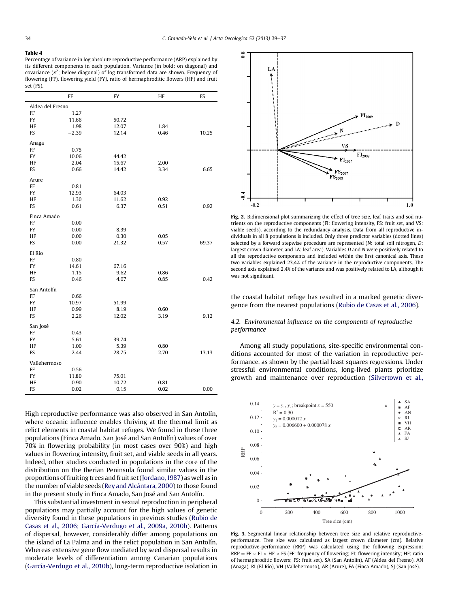#### <span id="page-5-0"></span>Table 4

Percentage of variance in log absolute reproductive performance (ARP) explained by its different components in each population. Variance (in bold; on diagonal) and covariance  $(x^2)$ ; below diagonal) of log transformed data are shown. Frequency of flowering (FF), flowering yield (FY), ratio of hermaphroditic flowers (HF) and fruit set (FS).

|                  | FF      | FY    | HF   | FS    |  |  |  |
|------------------|---------|-------|------|-------|--|--|--|
| Aldea del Fresno |         |       |      |       |  |  |  |
| FF               | 1.27    |       |      |       |  |  |  |
| <b>FY</b>        | 11.66   | 50.72 |      |       |  |  |  |
| HF               | 1.98    | 12.07 | 1.84 |       |  |  |  |
| <b>FS</b>        | $-2.39$ | 12.14 | 0.46 | 10.25 |  |  |  |
| Anaga            |         |       |      |       |  |  |  |
| FF               | 0.75    |       |      |       |  |  |  |
| <b>FY</b>        | 10.06   | 44.42 |      |       |  |  |  |
| HF               | 2.04    | 15.67 | 2.00 |       |  |  |  |
| FS               | 0.66    | 14.42 | 3.34 | 6.65  |  |  |  |
| Arure            |         |       |      |       |  |  |  |
| FF               | 0.81    |       |      |       |  |  |  |
| <b>FY</b>        | 12.93   | 64.03 |      |       |  |  |  |
| HF               | 1.30    | 11.62 | 0.92 |       |  |  |  |
| <b>FS</b>        | 0.61    | 6.37  | 0.51 | 0.92  |  |  |  |
| Finca Amado      |         |       |      |       |  |  |  |
| FF               | 0.00    |       |      |       |  |  |  |
| <b>FY</b>        | 0.00    | 8.39  |      |       |  |  |  |
| HF               | 0.00    | 0.30  | 0.05 |       |  |  |  |
| FS               | 0.00    | 21.32 | 0.57 | 69.37 |  |  |  |
| El Río           |         |       |      |       |  |  |  |
| FF               | 0.80    |       |      |       |  |  |  |
| <b>FY</b>        | 14.61   | 67.16 |      |       |  |  |  |
| HF               | 1.15    | 9.62  | 0.86 |       |  |  |  |
| <b>FS</b>        | 0.46    | 4.07  | 0.85 | 0.42  |  |  |  |
| San Antolín      |         |       |      |       |  |  |  |
| FF               | 0.66    |       |      |       |  |  |  |
| <b>FY</b>        | 10.97   | 51.99 |      |       |  |  |  |
| HF               | 0.99    | 8.19  | 0.60 |       |  |  |  |
| <b>FS</b>        | 2.26    | 12.02 | 3.19 | 9.12  |  |  |  |
| San José         |         |       |      |       |  |  |  |
| FF               | 0.43    |       |      |       |  |  |  |
| <b>FY</b>        | 5.61    | 39.74 |      |       |  |  |  |
| HF               | 1.00    | 5.39  | 0.80 |       |  |  |  |
| <b>FS</b>        | 2.44    | 28.75 | 2.70 | 13.13 |  |  |  |
| Vallehermoso     |         |       |      |       |  |  |  |
| FF               | 0.56    |       |      |       |  |  |  |
| <b>FY</b>        | 11.80   | 75.01 |      |       |  |  |  |
| HF               | 0.90    | 10.72 | 0.81 |       |  |  |  |
| FS               | 0.02    | 0.15  | 0.02 | 0.00  |  |  |  |

High reproductive performance was also observed in San Antolín, where oceanic influence enables thriving at the thermal limit as relict elements in coastal habitat refuges. We found in these three populations (Finca Amado, San José and San Antolín) values of over 70% in flowering probability (in most cases over 90%) and high values in flowering intensity, fruit set, and viable seeds in all years. Indeed, other studies conducted in populations in the core of the distribution on the Iberian Peninsula found similar values in the proportions of fruiting trees and fruit set ([Jordano,1987](#page-7-0)) as well as in the number of viable seeds [\(Rey and Alcántara, 2000\)](#page-8-0) to those found in the present study in Finca Amado, San José and San Antolín.

This substantial investment in sexual reproduction in peripheral populations may partially account for the high values of genetic diversity found in these populations in previous studies [\(Rubio de](#page-8-0) [Casas et al., 2006; García-Verdugo et al., 2009a, 2010b\)](#page-8-0). Patterns of dispersal, however, considerably differ among populations on the island of La Palma and in the relict population in San Antolín. Whereas extensive gene flow mediated by seed dispersal results in moderate levels of differentiation among Canarian populations ([García-Verdugo et al., 2010b\)](#page-7-0), long-term reproductive isolation in



Fig. 2. Bidimensional plot summarizing the effect of tree size, leaf traits and soil nutrients on the reproductive components (FI: flowering intensity, FS: fruit set, and VS: viable seeds), according to the redundancy analysis. Data from all reproductive individuals in all 8 populations is included. Only three predictor variables (dotted lines) selected by a forward stepwise procedure are represented  $(N:$  total soil nitrogen,  $D:$ largest crown diameter, and LA: leaf area). Variables D and N were positively related to all the reproductive components and included within the first canonical axis. These two variables explained 23.4% of the variance in the reproductive components. The second axis explained 2.4% of the variance and was positively related to LA, although it was not significant.

the coastal habitat refuge has resulted in a marked genetic divergence from the nearest populations [\(Rubio de Casas et al., 2006](#page-8-0)).

# 4.2. Environmental influence on the components of reproductive performance

Among all study populations, site-specific environmental conditions accounted for most of the variation in reproductive performance, as shown by the partial least squares regressions. Under stressful environmental conditions, long-lived plants prioritize growth and maintenance over reproduction ([Silvertown et al.,](#page-8-0)



Fig. 3. Segmental linear relationship between tree size and relative reproductiveperformance. Tree size was calculated as largest crown diameter (cm). Relative reproductive-performance (RRP) was calculated using the following expression:  $\text{RRP} = \text{FF} \times \text{FI} \times \text{HF} \times \text{FS}$  (FF: frequency of flowering; FI: flowering intensity; HF: ratio of hermaphroditic flowers; FS: fruit set). SA (San Antolín), AF (Aldea del Fresno), AN (Anaga), RI (El Río), VH (Vallehermoso), AR (Arure), FA (Finca Amado), SJ (San José).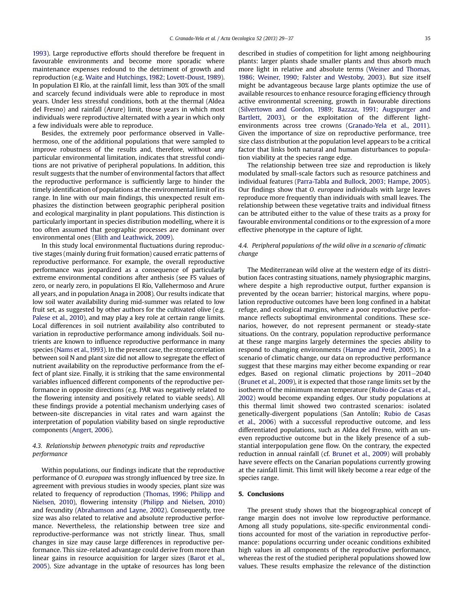[1993\)](#page-8-0). Large reproductive efforts should therefore be frequent in favourable environments and become more sporadic where maintenance expenses redound to the detriment of growth and reproduction (e.g. [Waite and Hutchings, 1982; Lovett-Doust, 1989\)](#page-8-0). In population El Río, at the rainfall limit, less than 30% of the small and scarcely fecund individuals were able to reproduce in most years. Under less stressful conditions, both at the thermal (Aldea del Fresno) and rainfall (Arure) limit, those years in which most individuals were reproductive alternated with a year in which only a few individuals were able to reproduce.

Besides, the extremely poor performance observed in Vallehermoso, one of the additional populations that were sampled to improve robustness of the results and, therefore, without any particular environmental limitation, indicates that stressful conditions are not privative of peripheral populations. In addition, this result suggests that the number of environmental factors that affect the reproductive performance is sufficiently large to hinder the timely identification of populations at the environmental limit of its range. In line with our main findings, this unexpected result emphasizes the distinction between geographic peripheral position and ecological marginality in plant populations. This distinction is particularly important in species distribution modelling, where it is too often assumed that geographic processes are dominant over environmental ones ([Elith and Leathwick, 2009](#page-7-0)).

In this study local environmental fluctuations during reproductive stages (mainly during fruit formation) caused erratic patterns of reproductive performance. For example, the overall reproductive performance was jeopardized as a consequence of particularly extreme environmental conditions after anthesis (see FS values of zero, or nearly zero, in populations El Río, Vallehermoso and Arure all years, and in population Anaga in 2008). Our results indicate that low soil water availability during mid-summer was related to low fruit set, as suggested by other authors for the cultivated olive (e.g. [Palese et al., 2010\)](#page-7-0), and may play a key role at certain range limits. Local differences in soil nutrient availability also contributed to variation in reproductive performance among individuals. Soil nutrients are known to influence reproductive performance in many species ([Nams et al., 1993](#page-7-0)). In the present case, the strong correlation between soil N and plant size did not allow to segregate the effect of nutrient availability on the reproductive performance from the effect of plant size. Finally, it is striking that the same environmental variables influenced different components of the reproductive performance in opposite directions (e.g. PAR was negatively related to the flowering intensity and positively related to viable seeds). All these findings provide a potential mechanism underlying cases of between-site discrepancies in vital rates and warn against the interpretation of population viability based on single reproductive components [\(Angert, 2006\)](#page-7-0).

# 4.3. Relationship between phenotypic traits and reproductive performance

Within populations, our findings indicate that the reproductive performance of O. europaea was strongly influenced by tree size. In agreement with previous studies in woody species, plant size was related to frequency of reproduction [\(Thomas, 1996; Philipp and](#page-8-0) [Nielsen, 2010](#page-8-0)), flowering intensity [\(Philipp and Nielsen, 2010\)](#page-8-0) and fecundity [\(Abrahamson and Layne, 2002](#page-7-0)). Consequently, tree size was also related to relative and absolute reproductive performance. Nevertheless, the relationship between tree size and reproductive-performance was not strictly linear. Thus, small changes in size may cause large differences in reproductive performance. This size-related advantage could derive from more than linear gains in resource acquisition for larger sizes [\(Barot et al.,](#page-7-0) [2005\)](#page-7-0). Size advantage in the uptake of resources has long been described in studies of competition for light among neighbouring plants: larger plants shade smaller plants and thus absorb much more light in relative and absolute terms ([Weiner and Thomas,](#page-8-0) [1986; Weiner, 1990; Falster and Westoby, 2003\)](#page-8-0). But size itself might be advantageous because large plants optimize the use of available resources to enhance resource foraging efficiency through active environmental screening, growth in favourable directions ([Silvertown and Gordon, 1989; Bazzaz, 1991; Augspurger and](#page-8-0) [Bartlett, 2003](#page-8-0)), or the exploitation of the different lightenvironments across tree crowns [\(Granado-Yela et al., 2011\)](#page-7-0). Given the importance of size on reproductive performance, tree size class distribution at the population level appears to be a critical factor that links both natural and human disturbances to population viability at the species range edge.

The relationship between tree size and reproduction is likely modulated by small-scale factors such as resource patchiness and individual features [\(Parra-Tabla and Bullock, 2003; Hampe, 2005\)](#page-8-0). Our findings show that O. europaea individuals with large leaves reproduce more frequently than individuals with small leaves. The relationship between these vegetative traits and individual fitness can be attributed either to the value of these traits as a proxy for favourable environmental conditions or to the expression of a more effective phenotype in the capture of light.

# 4.4. Peripheral populations of the wild olive in a scenario of climatic change

The Mediterranean wild olive at the western edge of its distribution faces contrasting situations, namely physiographic margins, where despite a high reproductive output, further expansion is prevented by the ocean barrier; historical margins, where population reproductive outcomes have been long confined in a habitat refuge, and ecological margins, where a poor reproductive performance reflects suboptimal environmental conditions. These scenarios, however, do not represent permanent or steady-state situations. On the contrary, population reproductive performance at these range margins largely determines the species ability to respond to changing environments ([Hampe and Petit, 2005](#page-7-0)). In a scenario of climatic change, our data on reproductive performance suggest that these margins may either become expanding or rear edges. Based on regional climatic projections by  $2011-2040$ ([Brunet et al., 2009\)](#page-7-0), it is expected that those range limits set by the isotherm of the minimum mean temperature ([Rubio de Casas et al.,](#page-8-0) [2002\)](#page-8-0) would become expanding edges. Our study populations at this thermal limit showed two contrasted scenarios: isolated genetically-divergent populations (San Antolín; [Rubio de Casas](#page-8-0) [et al., 2006\)](#page-8-0) with a successful reproductive outcome, and less differentiated populations, such as Aldea del Fresno, with an uneven reproductive outcome but in the likely presence of a substantial interpopulation gene flow. On the contrary, the expected reduction in annual rainfall (cf. [Brunet et al., 2009\)](#page-7-0) will probably have severe effects on the Canarian populations currently growing at the rainfall limit. This limit will likely become a rear edge of the species range.

# 5. Conclusions

The present study shows that the biogeographical concept of range margin does not involve low reproductive performance. Among all study populations, site-specific environmental conditions accounted for most of the variation in reproductive performance: populations occurring under oceanic conditions exhibited high values in all components of the reproductive performance, whereas the rest of the studied peripheral populations showed low values. These results emphasize the relevance of the distinction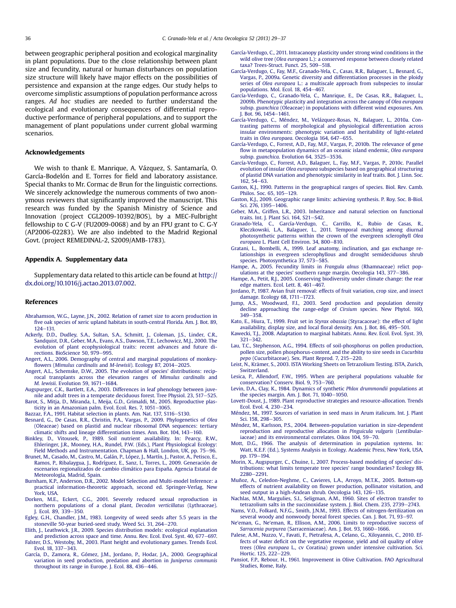<span id="page-7-0"></span>between geographic peripheral position and ecological marginality in plant populations. Due to the close relationship between plant size and fecundity, natural or human disturbances on population size structure will likely have major effects on the possibilities of persistence and expansion at the range edges. Our study helps to overcome simplistic assumptions of population performance across ranges. Ad hoc studies are needed to further understand the ecological and evolutionary consequences of differential reproductive performance of peripheral populations, and to support the management of plant populations under current global warming scenarios.

# Acknowledgements

We wish to thank E. Manrique, A. Vázquez, S. Santamaría, O. García-Bodelón and E. Torres for field and laboratory assistance. Special thanks to Mr. Cormac de Brun for the linguistic corrections. We sincerely acknowledge the numerous comments of two anonymous reviewers that significantly improved the manuscript. This research was funded by the Spanish Ministry of Science and Innovation (project CGL2009-10392/BOS), by a MEC-Fulbright fellowship to C G-V (FU2009-0068) and by an FPU grant to C. G-Y (AP2006-02283). We are also indebted to the Madrid Regional Govt. (project REMEDINAL-2, S2009/AMB-1783).

# Appendix A. Supplementary data

Supplementary data related to this article can be found at [http://](http://dx.doi.org/10.1016/j.actao.2013.07.002) [dx.doi.org/10.1016/j.actao.2013.07.002.](http://dx.doi.org/10.1016/j.actao.2013.07.002)

# References

- [Abrahamson, W.G., Layne, J.N., 2002. Relation of ramet size to acorn production in](http://refhub.elsevier.com/S1146-609X(13)00109-4/sref1) fi[ve oak species of xeric upland habitats in south-central Florida. Am. J. Bot. 89,](http://refhub.elsevier.com/S1146-609X(13)00109-4/sref1) [124](http://refhub.elsevier.com/S1146-609X(13)00109-4/sref1)-[131.](http://refhub.elsevier.com/S1146-609X(13)00109-4/sref1)
- [Ackerly, D.D., Dudley, S.A., Sultan, S.A., Schmitt, J., Coleman, J.S., Linder, C.R.,](http://refhub.elsevier.com/S1146-609X(13)00109-4/sref2) [Sandquist, D.R., Geber, M.A., Evans, A.S., Dawson, T.E., Lechowicz, M.J., 2000. The](http://refhub.elsevier.com/S1146-609X(13)00109-4/sref2) [evolution of plant ecophysiological traits: recent advances and future di](http://refhub.elsevier.com/S1146-609X(13)00109-4/sref2)[rections. BioScience 50, 979](http://refhub.elsevier.com/S1146-609X(13)00109-4/sref2)-[995.](http://refhub.elsevier.com/S1146-609X(13)00109-4/sref2)
- [Angert, A.L., 2006. Demography of central and marginal populations of monkey-](http://refhub.elsevier.com/S1146-609X(13)00109-4/sref3)flowers (Mimulus cardinalis and M-lewisii[\). Ecology 87, 2014](http://refhub.elsevier.com/S1146-609X(13)00109-4/sref3)-[2025.](http://refhub.elsevier.com/S1146-609X(13)00109-4/sref3)
- [Angert, A.L., Schemske, D.W., 2005. The evolution of species](http://refhub.elsevier.com/S1146-609X(13)00109-4/sref4)' distributions: recip[rocal transplants across the elevation ranges of](http://refhub.elsevier.com/S1146-609X(13)00109-4/sref4) Mimulus cardinalis and M. lewisii. Evolution 59,  $1671-1684$  $1671-1684$ .
- [Augspurger, C.K., Bartlett, E.A., 2003. Differences in leaf phenology between juve](http://refhub.elsevier.com/S1146-609X(13)00109-4/sref5)[nile and adult trees in a temperate deciduous forest. Tree Physiol. 23, 517](http://refhub.elsevier.com/S1146-609X(13)00109-4/sref5)–[525](http://refhub.elsevier.com/S1146-609X(13)00109-4/sref5).
- [Barot, S., Mitja, D., Miranda, I., Meija, G.D., Grimaldi, M., 2005. Reproductive plas](http://refhub.elsevier.com/S1146-609X(13)00109-4/sref6)[ticity in an Amazonian palm. Evol. Ecol. Res. 7, 1051](http://refhub.elsevier.com/S1146-609X(13)00109-4/sref6)-[1065](http://refhub.elsevier.com/S1146-609X(13)00109-4/sref6).
- [Bazzaz, F.A., 1991. Habitat selection in plants. Am. Nat. 137, S116](http://refhub.elsevier.com/S1146-609X(13)00109-4/sref7)-[S130](http://refhub.elsevier.com/S1146-609X(13)00109-4/sref7).
- [Besnard, G., De Casas, R.R., Christin, P.A., Vargas, P., 2009. Phylogenetics of](http://refhub.elsevier.com/S1146-609X(13)00109-4/sref8) Olea [\(Oleaceae\) based on plastid and nuclear ribosomal DNA sequences: tertiary](http://refhub.elsevier.com/S1146-609X(13)00109-4/sref8) [climatic shifts and lineage differentiation times. Ann. Bot. 104, 143](http://refhub.elsevier.com/S1146-609X(13)00109-4/sref8)-[160](http://refhub.elsevier.com/S1146-609X(13)00109-4/sref8).
- [Binkley, D., Vitousek, P., 1989. Soil nutrient availability. In: Pearcy, R.W.,](http://refhub.elsevier.com/S1146-609X(13)00109-4/sref9) [Ehleringer, J.R., Mooney, H.A., Rundel, P.W. \(Eds.\), Plant Physiological Ecology:](http://refhub.elsevier.com/S1146-609X(13)00109-4/sref9) [Field Methods and Instrumentation. Chapman & Hall, London, UK, pp. 75](http://refhub.elsevier.com/S1146-609X(13)00109-4/sref9)-[96](http://refhub.elsevier.com/S1146-609X(13)00109-4/sref9).
- [Brunet, M., Casado, M., Castro, M., Galán, P., López, J., Martín, J., Pastor, A., Petisco, E.,](http://refhub.elsevier.com/S1146-609X(13)00109-4/sref10) [Ramos, P., Ribalaygua, J., Rodríguez, E., Sanz, I., Torres, L., 2009. Generación de](http://refhub.elsevier.com/S1146-609X(13)00109-4/sref10) [escenarios regionalizados de cambio climático para España. Agencia Estatal de](http://refhub.elsevier.com/S1146-609X(13)00109-4/sref10) [Meteorología, Madrid, Spain](http://refhub.elsevier.com/S1146-609X(13)00109-4/sref10).
- [Burnham, K.P., Anderson, D.R., 2002. Model Selection and Multi-model Inference: a](http://refhub.elsevier.com/S1146-609X(13)00109-4/sref11) [practical information-theoretic approach, second ed. Springer-Verlag, New](http://refhub.elsevier.com/S1146-609X(13)00109-4/sref11) [York, USA.](http://refhub.elsevier.com/S1146-609X(13)00109-4/sref11)
- [Dorken, M.E., Eckert, C.G., 2001. Severely reduced sexual reproduction in](http://refhub.elsevier.com/S1146-609X(13)00109-4/sref12) [northern populations of a clonal plant,](http://refhub.elsevier.com/S1146-609X(13)00109-4/sref12) Decodon verticillatus (Lythraceae). [J. Ecol. 89, 339](http://refhub.elsevier.com/S1146-609X(13)00109-4/sref12)-[350.](http://refhub.elsevier.com/S1146-609X(13)00109-4/sref12)
- [Egley, G.H., Chandler, J.M., 1983. Longevity of weed seeds after 5.5 years in the](http://refhub.elsevier.com/S1146-609X(13)00109-4/sref13) [stoneville 50-year buried-seed study. Weed Sci. 31, 264](http://refhub.elsevier.com/S1146-609X(13)00109-4/sref13)-[270](http://refhub.elsevier.com/S1146-609X(13)00109-4/sref13).
- [Elith, J., Leathwick, J.R., 2009. Species distribution models: ecological explanation](http://refhub.elsevier.com/S1146-609X(13)00109-4/sref14) [and prediction across space and time. Annu. Rev. Ecol. Evol. Syst. 40, 677](http://refhub.elsevier.com/S1146-609X(13)00109-4/sref14)-[697.](http://refhub.elsevier.com/S1146-609X(13)00109-4/sref14)
- [Falster, D.S., Westoby, M., 2003. Plant height and evolutionary games. Trends Ecol.](http://refhub.elsevier.com/S1146-609X(13)00109-4/sref15) [Evol. 18, 337](http://refhub.elsevier.com/S1146-609X(13)00109-4/sref15)-[343](http://refhub.elsevier.com/S1146-609X(13)00109-4/sref15). [García, D., Zamora, R., Gómez, J.M., Jordano, P., Hodar, J.A., 2000. Geographical](http://refhub.elsevier.com/S1146-609X(13)00109-4/sref16)
- [variation in seed production, predation and abortion in](http://refhub.elsevier.com/S1146-609X(13)00109-4/sref16) Juniperus communis [throughout its range in Europe. J. Ecol. 88, 436](http://refhub.elsevier.com/S1146-609X(13)00109-4/sref16)-[446.](http://refhub.elsevier.com/S1146-609X(13)00109-4/sref16)
- [García-Verdugo, C., 2011. Intracanopy plasticity under strong wind conditions in the](http://refhub.elsevier.com/S1146-609X(13)00109-4/sref17) wild olive tree (Olea europaea [L.\): a conserved response between closely related](http://refhub.elsevier.com/S1146-609X(13)00109-4/sref17) [taxa? Trees-Struct. Funct. 25, 509](http://refhub.elsevier.com/S1146-609X(13)00109-4/sref17)-[518](http://refhub.elsevier.com/S1146-609X(13)00109-4/sref17).
- [García-Verdugo, C., Fay, M.F., Granado-Yela, C., Casas, R.R., Balaguer, L., Besnard, G.,](http://refhub.elsevier.com/S1146-609X(13)00109-4/sref18) [Vargas, P., 2009a. Genetic diversity and differentiation processes in the ploidy](http://refhub.elsevier.com/S1146-609X(13)00109-4/sref18) series of Olea europaea [L.: a multiscale approach from subspecies to insular](http://refhub.elsevier.com/S1146-609X(13)00109-4/sref18) populations. Mol. Ecol. 18,  $454-467$ .
- [García-Verdugo, C., Granado-Yela, C., Manrique, E., De Casas, R.R., Balaguer, L.,](http://refhub.elsevier.com/S1146-609X(13)00109-4/sref19) [2009b. Phenotypic plasticity and integration across the canopy of](http://refhub.elsevier.com/S1146-609X(13)00109-4/sref19) Olea europaea subsp. guanchica [\(Oleaceae\) in populations with different wind exposures. Am.](http://refhub.elsevier.com/S1146-609X(13)00109-4/sref19) I. Bot. 96, 1454-[1461.](http://refhub.elsevier.com/S1146-609X(13)00109-4/sref19)
- [García-Verdugo, C., Méndez, M., Velázquez-Rosas, N., Balaguer, L., 2010a. Con](http://refhub.elsevier.com/S1146-609X(13)00109-4/sref20)[trasting patterns of morphological and physiological differentiation across](http://refhub.elsevier.com/S1146-609X(13)00109-4/sref20) [insular environments: phenotypic variation and heritability of light-related](http://refhub.elsevier.com/S1146-609X(13)00109-4/sref20) traits in Olea europaea[. Oecologia 164, 647](http://refhub.elsevier.com/S1146-609X(13)00109-4/sref20)-[655](http://refhub.elsevier.com/S1146-609X(13)00109-4/sref20).
- [García-Verdugo, C., Forrest, A.D., Fay, M.F., Vargas, P., 2010b. The relevance of gene](http://refhub.elsevier.com/S1146-609X(13)00109-4/sref21) fl[ow in metapopulation dynamics of an oceanic island endemic,](http://refhub.elsevier.com/S1146-609X(13)00109-4/sref21) Olea europaea subsp. guanchica[. Evolution 64, 3525](http://refhub.elsevier.com/S1146-609X(13)00109-4/sref21)-[3536.](http://refhub.elsevier.com/S1146-609X(13)00109-4/sref21)
- [García-Verdugo, C., Forrest, A.D., Balaguer, L., Fay, M.F., Vargas, P., 2010c. Parallel](http://refhub.elsevier.com/S1146-609X(13)00109-4/sref22) evolution of insular Olea europaea [subspecies based on geographical structuring](http://refhub.elsevier.com/S1146-609X(13)00109-4/sref22) [of plastid DNA variation and phenotypic similarity in leaf traits. Bot. J. Linn. Soc.](http://refhub.elsevier.com/S1146-609X(13)00109-4/sref22)  $162, 54 - 63$  $162, 54 - 63$
- [Gaston, K.J., 1990. Patterns in the geographical ranges of species. Biol. Rev. Camb.](http://refhub.elsevier.com/S1146-609X(13)00109-4/sref23) [Philos. Soc. 65, 105](http://refhub.elsevier.com/S1146-609X(13)00109-4/sref23)-[129](http://refhub.elsevier.com/S1146-609X(13)00109-4/sref23).
- [Gaston, K.J., 2009. Geographic range limits: achieving synthesis. P. Roy. Soc. B-Biol.](http://refhub.elsevier.com/S1146-609X(13)00109-4/sref24) [Sci. 276, 1395](http://refhub.elsevier.com/S1146-609X(13)00109-4/sref24)-[1406](http://refhub.elsevier.com/S1146-609X(13)00109-4/sref24)
- [Geber, M.A., Griffen, L.R., 2003. Inheritance and natural selection on functional](http://refhub.elsevier.com/S1146-609X(13)00109-4/sref25) [traits. Int. J. Plant Sci. 164, S21](http://refhub.elsevier.com/S1146-609X(13)00109-4/sref25)-[S42](http://refhub.elsevier.com/S1146-609X(13)00109-4/sref25).
- [Granado-Yela, C., García-Verdugo, C., Carrillo, K., Rubio de Casas, R.,](http://refhub.elsevier.com/S1146-609X(13)00109-4/sref26) [Kleczkowski, L.A., Balaguer, L., 2011. Temporal matching among diurnal](http://refhub.elsevier.com/S1146-609X(13)00109-4/sref26) [photosynthetic patterns within the crown of the evergreen sclerophyll](http://refhub.elsevier.com/S1146-609X(13)00109-4/sref26) Olea europaea [L. Plant Cell Environ. 34, 800](http://refhub.elsevier.com/S1146-609X(13)00109-4/sref26)-[810](http://refhub.elsevier.com/S1146-609X(13)00109-4/sref26).
- [Gratani, L., Bombelli, A., 1999. Leaf anatomy, inclination, and gas exchange re](http://refhub.elsevier.com/S1146-609X(13)00109-4/sref27)[lationships in evergreen sclerophyllous and drought semideciduous shrub](http://refhub.elsevier.com/S1146-609X(13)00109-4/sref27) [species. Photosynthetica 37, 573](http://refhub.elsevier.com/S1146-609X(13)00109-4/sref27)-[585.](http://refhub.elsevier.com/S1146-609X(13)00109-4/sref27)
- [Hampe, A., 2005. Fecundity limits in](http://refhub.elsevier.com/S1146-609X(13)00109-4/sref28) Frangula alnus (Rhamnaceae) relict populations at the species' [southern range margin. Oecologia 143, 377](http://refhub.elsevier.com/S1146-609X(13)00109-4/sref28)-[386](http://refhub.elsevier.com/S1146-609X(13)00109-4/sref28).
- [Hampe, A., Petit, R.J., 2005. Conserving biodiversity under climate change: the rear](http://refhub.elsevier.com/S1146-609X(13)00109-4/sref29) [edge matters. Ecol. Lett. 8, 461](http://refhub.elsevier.com/S1146-609X(13)00109-4/sref29)-[467.](http://refhub.elsevier.com/S1146-609X(13)00109-4/sref29)
- [Jordano, P., 1987. Avian fruit removal: effects of fruit variation, crop size, and insect](http://refhub.elsevier.com/S1146-609X(13)00109-4/sref30) [damage. Ecology 68, 1711](http://refhub.elsevier.com/S1146-609X(13)00109-4/sref30)-[1723](http://refhub.elsevier.com/S1146-609X(13)00109-4/sref30)
- [Jump, A.S., Woodward, F.I., 2003. Seed production and population density](http://refhub.elsevier.com/S1146-609X(13)00109-4/sref31) [decline approaching the range-edge of](http://refhub.elsevier.com/S1146-609X(13)00109-4/sref31) Cirsium species. New Phytol. 160, [349](http://refhub.elsevier.com/S1146-609X(13)00109-4/sref31)-[358.](http://refhub.elsevier.com/S1146-609X(13)00109-4/sref31)
- [Kato, E., Hiura, T., 1999. Fruit set in](http://refhub.elsevier.com/S1146-609X(13)00109-4/sref32) Styrax obassia (Styracaceae): the effect of light [availability, display size, and local](http://refhub.elsevier.com/S1146-609X(13)00109-4/sref32) floral density. Am. J. Bot. 86, 495-[501.](http://refhub.elsevier.com/S1146-609X(13)00109-4/sref32)
- [Kawecki, T.J., 2008. Adaptation to marginal habitats. Annu. Rev. Ecol. Evol. Syst. 39,](http://refhub.elsevier.com/S1146-609X(13)00109-4/sref33)  $321 - 342$  $321 - 342$ .
- [Lau, T.C., Stephenson, A.G., 1994. Effects of soil-phosphorus on pollen production,](http://refhub.elsevier.com/S1146-609X(13)00109-4/sref34) [pollen size, pollen phosphorus-content, and the ability to sire seeds in](http://refhub.elsevier.com/S1146-609X(13)00109-4/sref34) Cucurbita pepo [\(Cucurbitaceae\). Sex. Plant Reprod. 7, 215](http://refhub.elsevier.com/S1146-609X(13)00109-4/sref34)-[220](http://refhub.elsevier.com/S1146-609X(13)00109-4/sref34).
- [Leist, N., Krämer, S., 2003. ISTA Working Sheets on Tetrazolium Testing. ISTA, Zurich,](http://refhub.elsevier.com/S1146-609X(13)00109-4/sref35) [Switzerland.](http://refhub.elsevier.com/S1146-609X(13)00109-4/sref35)
- [Lesica, P., Allendorf, F.W., 1995. When are peripheral populations valuable for](http://refhub.elsevier.com/S1146-609X(13)00109-4/sref36) [conservation? Conserv. Biol. 9, 753](http://refhub.elsevier.com/S1146-609X(13)00109-4/sref36)-[760](http://refhub.elsevier.com/S1146-609X(13)00109-4/sref36).
- [Levin, D.A., Clay, K., 1984. Dynamics of synthetic](http://refhub.elsevier.com/S1146-609X(13)00109-4/sref37) Phlox drummondii populations at the species margin. Am. J. Bot. 71,  $1040-1050$  $1040-1050$ .
- [Lovett-Doust, J., 1989. Plant reproductive strategies and resource-allocation. Trends](http://refhub.elsevier.com/S1146-609X(13)00109-4/sref38) [Ecol. Evol. 4, 230](http://refhub.elsevier.com/S1146-609X(13)00109-4/sref38)-[234.](http://refhub.elsevier.com/S1146-609X(13)00109-4/sref38)
- [Méndez, M., 1997. Sources of variation in seed mass in Arum italicum. Int. J. Plant](http://refhub.elsevier.com/S1146-609X(13)00109-4/sref39) [Sci. 158, 298](http://refhub.elsevier.com/S1146-609X(13)00109-4/sref39)-[305.](http://refhub.elsevier.com/S1146-609X(13)00109-4/sref39)
- [Méndez, M., Karlsson, P.S., 2004. Between-population variation in size-dependent](http://refhub.elsevier.com/S1146-609X(13)00109-4/sref40) [reproduction and reproductive allocation in](http://refhub.elsevier.com/S1146-609X(13)00109-4/sref40) Pinguicula vulgaris (Lentibular[iaceae\) and its environmental correlates. Oikos 104, 59](http://refhub.elsevier.com/S1146-609X(13)00109-4/sref40)-[70](http://refhub.elsevier.com/S1146-609X(13)00109-4/sref40).
- [Mott, D.G., 1966. The analysis of determination in population systems. In:](http://refhub.elsevier.com/S1146-609X(13)00109-4/sref41) [Watt, K.E.F. \(Ed.\), Systems Analysis in Ecology. Academic Press, New York, USA,](http://refhub.elsevier.com/S1146-609X(13)00109-4/sref41) [pp. 179](http://refhub.elsevier.com/S1146-609X(13)00109-4/sref41)-[194](http://refhub.elsevier.com/S1146-609X(13)00109-4/sref41).
- [Morin, X., Augspurger, C., Chuine, I., 2007. Process-based modeling of species](http://refhub.elsevier.com/S1146-609X(13)00109-4/sref42)' dis[tributions: what limits temperate tree species](http://refhub.elsevier.com/S1146-609X(13)00109-4/sref42)' range boundaries? Ecology 88, [2280](http://refhub.elsevier.com/S1146-609X(13)00109-4/sref42)-[2291.](http://refhub.elsevier.com/S1146-609X(13)00109-4/sref42)
- [Muñoz, A., Celedon-Neghme, C., Cavieres, L.A., Arroyo, M.T.K., 2005. Bottom-up](http://refhub.elsevier.com/S1146-609X(13)00109-4/sref43) effects of nutrient availability on fl[ower production, pollinator visitation, and](http://refhub.elsevier.com/S1146-609X(13)00109-4/sref43) [seed output in a high-Andean shrub. Oecologia 143, 126](http://refhub.elsevier.com/S1146-609X(13)00109-4/sref43)-[135](http://refhub.elsevier.com/S1146-609X(13)00109-4/sref43).
- [Nachlas, M.M., Margulies, S.I., Seligman, A.M., 1960. Sites of electron transfer to](http://refhub.elsevier.com/S1146-609X(13)00109-4/sref44) [tetrazolium salts in the succinoxidase system. J. Biol. Chem. 235, 2739](http://refhub.elsevier.com/S1146-609X(13)00109-4/sref44)-[2743.](http://refhub.elsevier.com/S1146-609X(13)00109-4/sref44)
- [Nams, V.O., Folkard, N.F.G., Smith, J.N.M., 1993. Effects of nitrogen-fertilization on](http://refhub.elsevier.com/S1146-609X(13)00109-4/sref45) [several woody and nonwoody boreal forest species. Can. J. Bot. 71, 93](http://refhub.elsevier.com/S1146-609X(13)00109-4/sref45)-[97.](http://refhub.elsevier.com/S1146-609X(13)00109-4/sref45)
- Ne'eman, G., Ne'[eman, R., Ellison, A.M., 2006. Limits to reproductive success of](http://refhub.elsevier.com/S1146-609X(13)00109-4/sref46) Sarracenia purpurea [\(Sarraceniaceae\). Am. J. Bot. 93, 1660](http://refhub.elsevier.com/S1146-609X(13)00109-4/sref46)-[1666](http://refhub.elsevier.com/S1146-609X(13)00109-4/sref46).
- [Palese, A.M., Nuzzo, V., Favati, F., Pietrafesa, A., Celano, G., Xiloyannis, C., 2010. Ef](http://refhub.elsevier.com/S1146-609X(13)00109-4/sref47)fects of water defi[cit on the vegetative response, yield and oil quality of olive](http://refhub.elsevier.com/S1146-609X(13)00109-4/sref47) trees (Olea europaea [L., cv Coratina\) grown under intensive cultivation. Sci.](http://refhub.elsevier.com/S1146-609X(13)00109-4/sref47) [Hortic. 125, 222](http://refhub.elsevier.com/S1146-609X(13)00109-4/sref47)-[229](http://refhub.elsevier.com/S1146-609X(13)00109-4/sref47).
- [Pansiot, F.P., Rebour, H., 1961. Improvement in Olive Cultivation. FAO Agricultural](http://refhub.elsevier.com/S1146-609X(13)00109-4/sref48) [Studies, Rome, Italy.](http://refhub.elsevier.com/S1146-609X(13)00109-4/sref48)